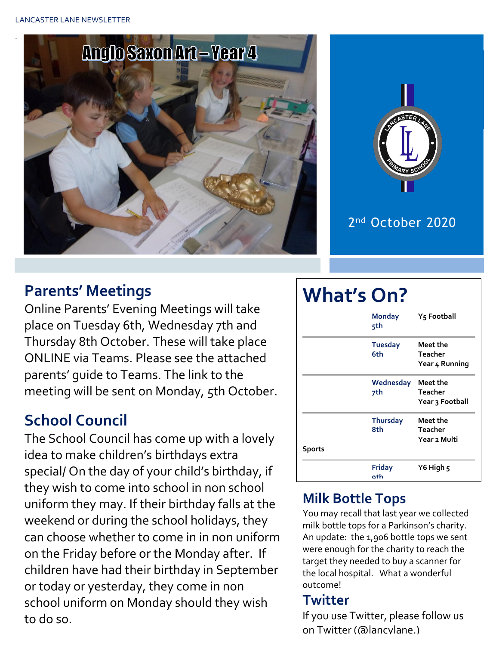



## **Parents' Meetings**

Online Parents' Evening Meetings will take place on Tuesday 6th, Wednesday 7th and Thursday 8th October. These will take place ONLINE via Teams. Please see the attached parents' guide to Teams. The link to the meeting will be sent on Monday, 5th October.

## **School Council**

The School Council has come up with a lovely idea to make children's birthdays extra special/ On the day of your child's birthday, if they wish to come into school in non school uniform they may. If their birthday falls at the weekend or during the school holidays, they can choose whether to come in in non uniform on the Friday before or the Monday after. If children have had their birthday in September or today or yesterday, they come in non school uniform on Monday should they wish to do so.

#### **What's On? Monday Y5 Football 5th Tuesday Meet the 6th Teacher Year 4 Running Wednesday Meet the 7th Teacher Year 3 Football Thursday Meet the 8th Teacher Year 2 Multi Sports Friday Y6 High 5 9th**

## **Milk Bottle Tops**

You may recall that last year we collected milk bottle tops for a Parkinson's charity. An update: the 1,906 bottle tops we sent were enough for the charity to reach the target they needed to buy a scanner for the local hospital. What a wonderful outcome!

#### **Twitter**

If you use Twitter, please follow us on Twitter (@lancylane.)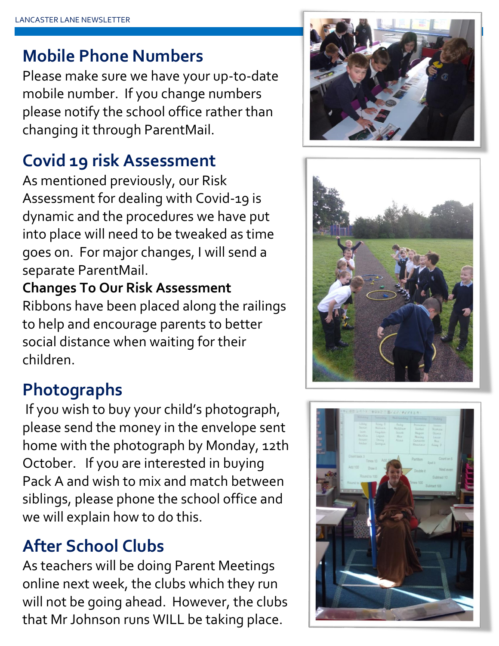# **Mobile Phone Numbers**

Please make sure we have your up-to-date mobile number. If you change numbers please notify the school office rather than changing it through ParentMail.

# **Covid 19 risk Assessment**

As mentioned previously, our Risk Assessment for dealing with Covid-19 is dynamic and the procedures we have put into place will need to be tweaked as time goes on. For major changes, I will send a separate ParentMail.

## **Changes To Our Risk Assessment**

Ribbons have been placed along the railings to help and encourage parents to better social distance when waiting for their children.

# **Photographs**

If you wish to buy your child's photograph, please send the money in the envelope sent home with the photograph by Monday, 12th October. If you are interested in buying Pack A and wish to mix and match between siblings, please phone the school office and we will explain how to do this.

# **After School Clubs**

As teachers will be doing Parent Meetings online next week, the clubs which they run will not be going ahead. However, the clubs that Mr Johnson runs WILL be taking place.